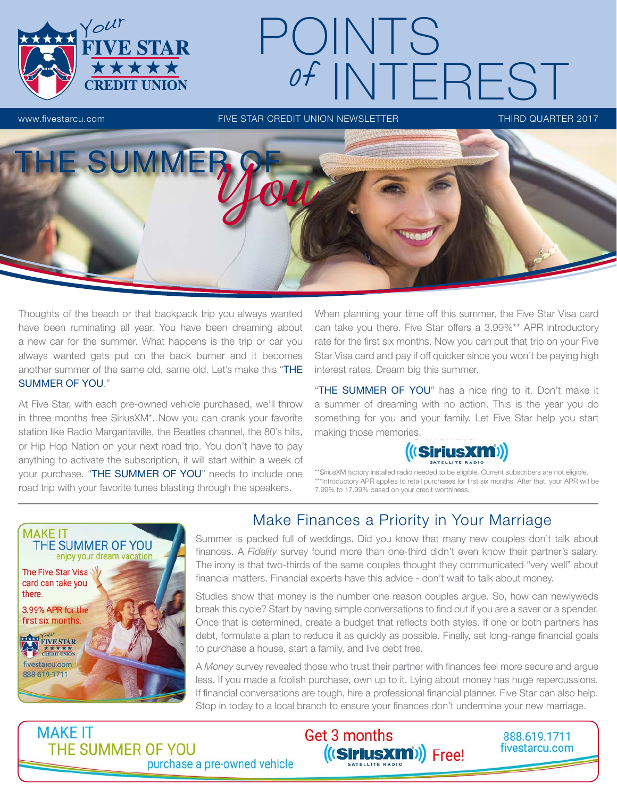

Thoughts of the beach or that backpack trip you always wanted have been ruminating all year. You have been dreaming about a new car for the summer. What happens is the trip or car you always wanted gets put on the back burner and it becomes another summer of the same old, same old. Let's make this "THE SUMMER OF YOU."

At Five Star, with each pre-owned vehicle purchased, we'll throw in three months free SiriusXM\*. Now you can crank your favorite station like Radio Margaritaville, the Beatles channel, the 80's hits, or Hip Hop Nation on your next road trip. You don't have to pay anything to activate the subscription, it will start within a week of your purchase. "THE SUMMER OF YOU" needs to include one road trip with your favorite tunes blasting through the speakers.

When planning your time off this summer, the Five Star Visa card can take you there. Five Star offers a 3.99%\*\* APR introductory rate for the first six months. Now you can put that trip on your Five Star Visa card and pay if off quicker since you won't be paying high interest rates. Dream big this summer.

"THE SUMMER OF YOU" has a nice ring to it. Don't make it a summer of dreaming with no action. This is the year you do something for you and your family. Let Five Star help you start making those memories.



\*\*SiriusXM factory installed radio needed to be eligible. Current subscribers are not eligible. \*\*\*Introductory APR applies to retail purchases for first six months. After that, your APR will be 7.99% to 17.99% based on your credit worthiness.

888.619.1711

fivestarcu.com



## Make Finances a Priority in Your Marriage

Summer is packed full of weddings. Did you know that many new couples don't talk about finances. A *Fidelity* survey found more than one-third didn't even know their partner's salary. The irony is that two-thirds of the same couples thought they communicated "very well" about financial matters. Financial experts have this advice - don't wait to talk about money.

Studies show that money is the number one reason couples argue. So, how can newlyweds break this cycle? Start by having simple conversations to find out if you are a saver or a spender. Once that is determined, create a budget that reflects both styles. If one or both partners has debt, formulate a plan to reduce it as quickly as possible. Finally, set long-range financial goals to purchase a house, start a family, and live debt free.

A *Money* survey revealed those who trust their partner with finances feel more secure and argue less. If you made a foolish purchase, own up to it. Lying about money has huge repercussions. If financial conversations are tough, hire a professional financial planner. Five Star can also help. Stop in today to a local branch to ensure your finances don't undermine your new marriage.

((SiriusXm)) Free!

Get 3 months

**MAKE IT** THE SUMMER OF YOU purchase a pre-owned vehicle